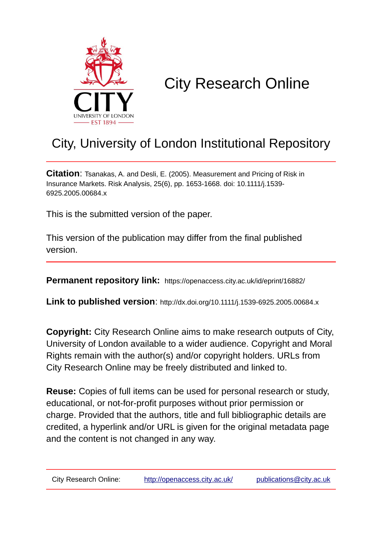

# City Research Online

## City, University of London Institutional Repository

**Citation**: Tsanakas, A. and Desli, E. (2005). Measurement and Pricing of Risk in Insurance Markets. Risk Analysis, 25(6), pp. 1653-1668. doi: 10.1111/j.1539- 6925.2005.00684.x

This is the submitted version of the paper.

This version of the publication may differ from the final published version.

**Permanent repository link:** https://openaccess.city.ac.uk/id/eprint/16882/

**Link to published version**: http://dx.doi.org/10.1111/j.1539-6925.2005.00684.x

**Copyright:** City Research Online aims to make research outputs of City, University of London available to a wider audience. Copyright and Moral Rights remain with the author(s) and/or copyright holders. URLs from City Research Online may be freely distributed and linked to.

**Reuse:** Copies of full items can be used for personal research or study, educational, or not-for-profit purposes without prior permission or charge. Provided that the authors, title and full bibliographic details are credited, a hyperlink and/or URL is given for the original metadata page and the content is not changed in any way.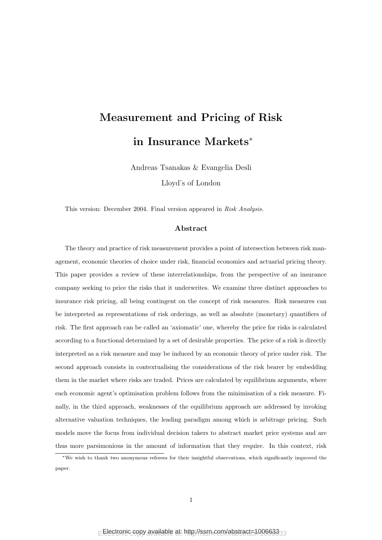## Measurement and Pricing of Risk in Insurance Markets<sup>∗</sup>

Andreas Tsanakas & Evangelia Desli

Lloyd's of London

This version: December 2004. Final version appeared in Risk Analysis.

### Abstract

The theory and practice of risk measurement provides a point of intersection between risk management, economic theories of choice under risk, financial economics and actuarial pricing theory. This paper provides a review of these interrelationships, from the perspective of an insurance company seeking to price the risks that it underwrites. We examine three distinct approaches to insurance risk pricing, all being contingent on the concept of risk measures. Risk measures can be interpreted as representations of risk orderings, as well as absolute (monetary) quantifiers of risk. The first approach can be called an 'axiomatic' one, whereby the price for risks is calculated according to a functional determined by a set of desirable properties. The price of a risk is directly interpreted as a risk measure and may be induced by an economic theory of price under risk. The second approach consists in contextualising the considerations of the risk bearer by embedding them in the market where risks are traded. Prices are calculated by equilibrium arguments, where each economic agent's optimisation problem follows from the minimisation of a risk measure. Finally, in the third approach, weaknesses of the equilibrium approach are addressed by invoking alternative valuation techniques, the leading paradigm among which is arbitrage pricing. Such models move the focus from individual decision takers to abstract market price systems and are thus more parsimonious in the amount of information that they require. In this context, risk

<sup>∗</sup>We wish to thank two anonymous referees for their insightful observations, which significantly improved the paper.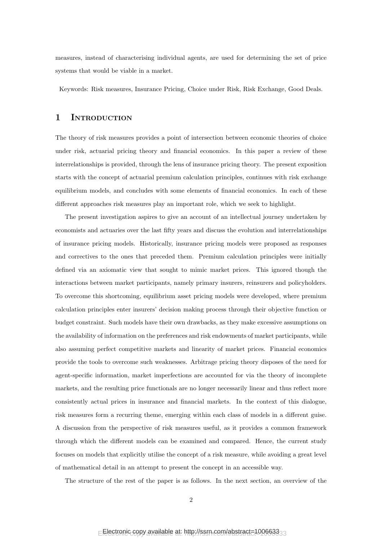measures, instead of characterising individual agents, are used for determining the set of price systems that would be viable in a market.

Keywords: Risk measures, Insurance Pricing, Choice under Risk, Risk Exchange, Good Deals.

## 1 INTRODUCTION

The theory of risk measures provides a point of intersection between economic theories of choice under risk, actuarial pricing theory and financial economics. In this paper a review of these interrelationships is provided, through the lens of insurance pricing theory. The present exposition starts with the concept of actuarial premium calculation principles, continues with risk exchange equilibrium models, and concludes with some elements of financial economics. In each of these different approaches risk measures play an important role, which we seek to highlight.

The present investigation aspires to give an account of an intellectual journey undertaken by economists and actuaries over the last fifty years and discuss the evolution and interrelationships of insurance pricing models. Historically, insurance pricing models were proposed as responses and correctives to the ones that preceded them. Premium calculation principles were initially defined via an axiomatic view that sought to mimic market prices. This ignored though the interactions between market participants, namely primary insurers, reinsurers and policyholders. To overcome this shortcoming, equilibrium asset pricing models were developed, where premium calculation principles enter insurers' decision making process through their objective function or budget constraint. Such models have their own drawbacks, as they make excessive assumptions on the availability of information on the preferences and risk endowments of market participants, while also assuming perfect competitive markets and linearity of market prices. Financial economics provide the tools to overcome such weaknesses. Arbitrage pricing theory disposes of the need for agent-specific information, market imperfections are accounted for via the theory of incomplete markets, and the resulting price functionals are no longer necessarily linear and thus reflect more consistently actual prices in insurance and financial markets. In the context of this dialogue, risk measures form a recurring theme, emerging within each class of models in a different guise. A discussion from the perspective of risk measures useful, as it provides a common framework through which the different models can be examined and compared. Hence, the current study focuses on models that explicitly utilise the concept of a risk measure, while avoiding a great level of mathematical detail in an attempt to present the concept in an accessible way.

The structure of the rest of the paper is as follows. In the next section, an overview of the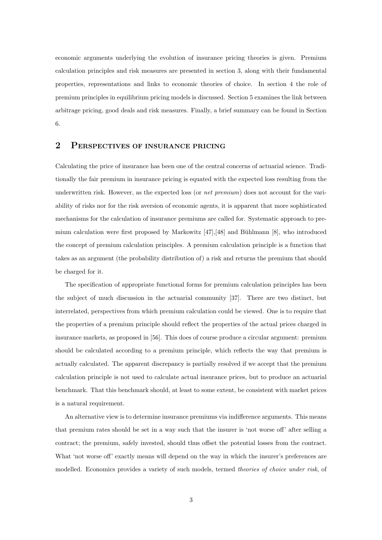economic arguments underlying the evolution of insurance pricing theories is given. Premium calculation principles and risk measures are presented in section 3, along with their fundamental properties, representations and links to economic theories of choice. In section 4 the role of premium principles in equilibrium pricing models is discussed. Section 5 examines the link between arbitrage pricing, good deals and risk measures. Finally, a brief summary can be found in Section 6.

## 2 PERSPECTIVES OF INSURANCE PRICING

Calculating the price of insurance has been one of the central concerns of actuarial science. Traditionally the fair premium in insurance pricing is equated with the expected loss resulting from the underwritten risk. However, as the expected loss (or *net premium*) does not account for the variability of risks nor for the risk aversion of economic agents, it is apparent that more sophisticated mechanisms for the calculation of insurance premiums are called for. Systematic approach to premium calculation were first proposed by Markowitz  $[47]$ ,  $[48]$  and Bühlmann  $[8]$ , who introduced the concept of premium calculation principles. A premium calculation principle is a function that takes as an argument (the probability distribution of) a risk and returns the premium that should be charged for it.

The specification of appropriate functional forms for premium calculation principles has been the subject of much discussion in the actuarial community [37]. There are two distinct, but interrelated, perspectives from which premium calculation could be viewed. One is to require that the properties of a premium principle should reflect the properties of the actual prices charged in insurance markets, as proposed in [56]. This does of course produce a circular argument: premium should be calculated according to a premium principle, which reflects the way that premium is actually calculated. The apparent discrepancy is partially resolved if we accept that the premium calculation principle is not used to calculate actual insurance prices, but to produce an actuarial benchmark. That this benchmark should, at least to some extent, be consistent with market prices is a natural requirement.

An alternative view is to determine insurance premiums via indifference arguments. This means that premium rates should be set in a way such that the insurer is 'not worse off' after selling a contract; the premium, safely invested, should thus offset the potential losses from the contract. What 'not worse off' exactly means will depend on the way in which the insurer's preferences are modelled. Economics provides a variety of such models, termed theories of choice under risk, of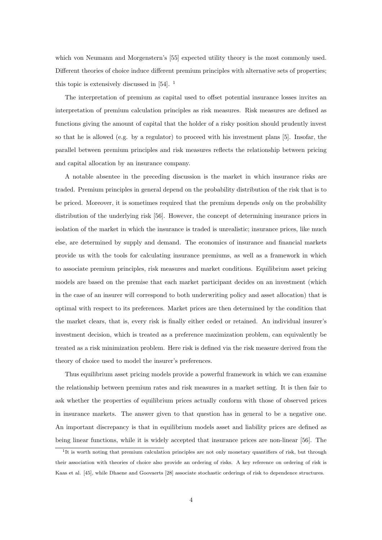which von Neumann and Morgenstern's [55] expected utility theory is the most commonly used. Different theories of choice induce different premium principles with alternative sets of properties; this topic is extensively discussed in [54]. <sup>1</sup>

The interpretation of premium as capital used to offset potential insurance losses invites an interpretation of premium calculation principles as risk measures. Risk measures are defined as functions giving the amount of capital that the holder of a risky position should prudently invest so that he is allowed (e.g. by a regulator) to proceed with his investment plans [5]. Insofar, the parallel between premium principles and risk measures reflects the relationship between pricing and capital allocation by an insurance company.

A notable absentee in the preceding discussion is the market in which insurance risks are traded. Premium principles in general depend on the probability distribution of the risk that is to be priced. Moreover, it is sometimes required that the premium depends only on the probability distribution of the underlying risk [56]. However, the concept of determining insurance prices in isolation of the market in which the insurance is traded is unrealistic; insurance prices, like much else, are determined by supply and demand. The economics of insurance and financial markets provide us with the tools for calculating insurance premiums, as well as a framework in which to associate premium principles, risk measures and market conditions. Equilibrium asset pricing models are based on the premise that each market participant decides on an investment (which in the case of an insurer will correspond to both underwriting policy and asset allocation) that is optimal with respect to its preferences. Market prices are then determined by the condition that the market clears, that is, every risk is finally either ceded or retained. An individual insurer's investment decision, which is treated as a preference maximization problem, can equivalently be treated as a risk minimization problem. Here risk is defined via the risk measure derived from the theory of choice used to model the insurer's preferences.

Thus equilibrium asset pricing models provide a powerful framework in which we can examine the relationship between premium rates and risk measures in a market setting. It is then fair to ask whether the properties of equilibrium prices actually conform with those of observed prices in insurance markets. The answer given to that question has in general to be a negative one. An important discrepancy is that in equilibrium models asset and liability prices are defined as being linear functions, while it is widely accepted that insurance prices are non-linear [56]. The

<sup>&</sup>lt;sup>1</sup>It is worth noting that premium calculation principles are not only monetary quantifiers of risk, but through their association with theories of choice also provide an ordering of risks. A key reference on ordering of risk is Kaas et al. [45], while Dhaene and Goovaerts [28] associate stochastic orderings of risk to dependence structures.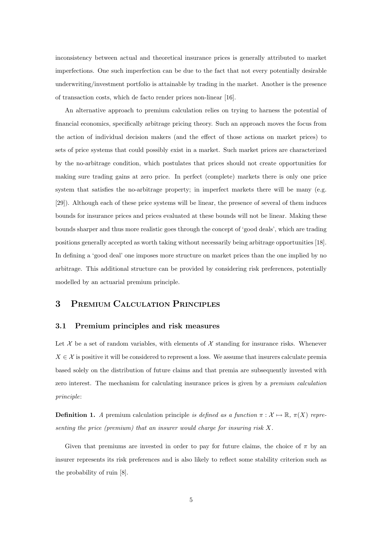inconsistency between actual and theoretical insurance prices is generally attributed to market imperfections. One such imperfection can be due to the fact that not every potentially desirable underwriting/investment portfolio is attainable by trading in the market. Another is the presence of transaction costs, which de facto render prices non-linear [16].

An alternative approach to premium calculation relies on trying to harness the potential of financial economics, specifically arbitrage pricing theory. Such an approach moves the focus from the action of individual decision makers (and the effect of those actions on market prices) to sets of price systems that could possibly exist in a market. Such market prices are characterized by the no-arbitrage condition, which postulates that prices should not create opportunities for making sure trading gains at zero price. In perfect (complete) markets there is only one price system that satisfies the no-arbitrage property; in imperfect markets there will be many (e.g. [29]). Although each of these price systems will be linear, the presence of several of them induces bounds for insurance prices and prices evaluated at these bounds will not be linear. Making these bounds sharper and thus more realistic goes through the concept of 'good deals', which are trading positions generally accepted as worth taking without necessarily being arbitrage opportunities [18]. In defining a 'good deal' one imposes more structure on market prices than the one implied by no arbitrage. This additional structure can be provided by considering risk preferences, potentially modelled by an actuarial premium principle.

## 3 PREMIUM CALCULATION PRINCIPLES

## 3.1 Premium principles and risk measures

Let  $\mathcal X$  be a set of random variables, with elements of  $\mathcal X$  standing for insurance risks. Whenever  $X \in \mathcal{X}$  is positive it will be considered to represent a loss. We assume that insurers calculate premia based solely on the distribution of future claims and that premia are subsequently invested with zero interest. The mechanism for calculating insurance prices is given by a premium calculation principle:

**Definition 1.** A premium calculation principle is defined as a function  $\pi : \mathcal{X} \mapsto \mathbb{R}$ ,  $\pi(X)$  representing the price (premium) that an insurer would charge for insuring risk  $X$ .

Given that premiums are invested in order to pay for future claims, the choice of  $\pi$  by an insurer represents its risk preferences and is also likely to reflect some stability criterion such as the probability of ruin [8].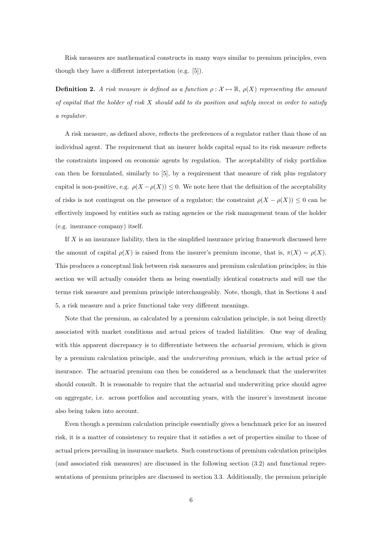Risk measures are mathematical constructs in many ways similar to premium principles, even though they have a different interpretation (e.g. [5]).

**Definition 2.** A risk measure is defined as a function  $\rho : \mathcal{X} \to \mathbb{R}$ ,  $\rho(X)$  representing the amount of capital that the holder of risk  $X$  should add to its position and safely invest in order to satisfy a regulator.

A risk measure, as defined above, reflects the preferences of a regulator rather than those of an individual agent. The requirement that an insurer holds capital equal to its risk measure reflects the constraints imposed on economic agents by regulation. The acceptability of risky portfolios can then be formulated, similarly to [5], by a requirement that measure of risk plus regulatory capital is non-positive, e.g.  $\rho(X - \rho(X)) \leq 0$ . We note here that the definition of the acceptability of risks is not contingent on the presence of a regulator; the constraint  $\rho(X - \rho(X)) \leq 0$  can be effectively imposed by entities such as rating agencies or the risk management team of the holder (e.g. insurance company) itself.

If  $X$  is an insurance liability, then in the simplified insurance pricing framework discussed here the amount of capital  $\rho(X)$  is raised from the insurer's premium income, that is,  $\pi(X) = \rho(X)$ . This produces a conceptual link between risk measures and premium calculation principles; in this section we will actually consider them as being essentially identical constructs and will use the terms risk measure and premium principle interchangeably. Note, though, that in Sections 4 and 5, a risk measure and a price functional take very different meanings.

Note that the premium, as calculated by a premium calculation principle, is not being directly associated with market conditions and actual prices of traded liabilities. One way of dealing with this apparent discrepancy is to differentiate between the *actuarial premium*, which is given by a premium calculation principle, and the underwriting premium, which is the actual price of insurance. The actuarial premium can then be considered as a benchmark that the underwriter should consult. It is reasonable to require that the actuarial and underwriting price should agree on aggregate, i.e. across portfolios and accounting years, with the insurer's investment income also being taken into account.

Even though a premium calculation principle essentially gives a benchmark price for an insured risk, it is a matter of consistency to require that it satisfies a set of properties similar to those of actual prices prevailing in insurance markets. Such constructions of premium calculation principles (and associated risk measures) are discussed in the following section (3.2) and functional representations of premium principles are discussed in section 3.3. Additionally, the premium principle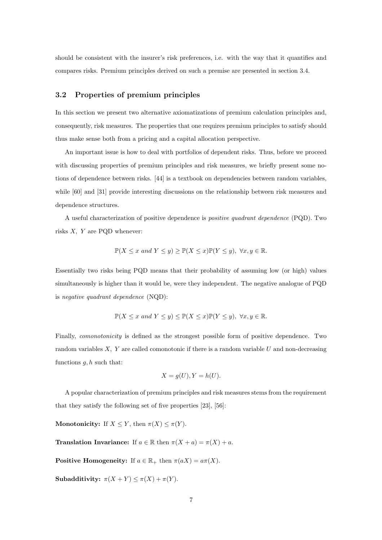should be consistent with the insurer's risk preferences, i.e. with the way that it quantifies and compares risks. Premium principles derived on such a premise are presented in section 3.4.

## 3.2 Properties of premium principles

In this section we present two alternative axiomatizations of premium calculation principles and, consequently, risk measures. The properties that one requires premium principles to satisfy should thus make sense both from a pricing and a capital allocation perspective.

An important issue is how to deal with portfolios of dependent risks. Thus, before we proceed with discussing properties of premium principles and risk measures, we briefly present some notions of dependence between risks. [44] is a textbook on dependencies between random variables, while [60] and [31] provide interesting discussions on the relationship between risk measures and dependence structures.

A useful characterization of positive dependence is positive quadrant dependence (PQD). Two risks  $X$ ,  $Y$  are PQD whenever:

$$
\mathbb{P}(X \le x \text{ and } Y \le y) \ge \mathbb{P}(X \le x)\mathbb{P}(Y \le y), \ \forall x, y \in \mathbb{R}.
$$

Essentially two risks being PQD means that their probability of assuming low (or high) values simultaneously is higher than it would be, were they independent. The negative analogue of PQD is negative quadrant dependence (NQD):

$$
\mathbb{P}(X \le x \text{ and } Y \le y) \le \mathbb{P}(X \le x)\mathbb{P}(Y \le y), \ \forall x, y \in \mathbb{R}.
$$

Finally, comonotonicity is defined as the strongest possible form of positive dependence. Two random variables  $X$ ,  $Y$  are called comonotonic if there is a random variable  $U$  and non-decreasing functions  $q, h$  such that:

$$
X = g(U), Y = h(U).
$$

A popular characterization of premium principles and risk measures stems from the requirement that they satisfy the following set of five properties [23], [56]:

Monotonicity: If  $X \leq Y$ , then  $\pi(X) \leq \pi(Y)$ .

**Translation Invariance:** If  $a \in \mathbb{R}$  then  $\pi(X + a) = \pi(X) + a$ .

**Positive Homogeneity:** If  $a \in \mathbb{R}_+$  then  $\pi(aX) = a\pi(X)$ .

Subadditivity:  $\pi(X + Y) \leq \pi(X) + \pi(Y)$ .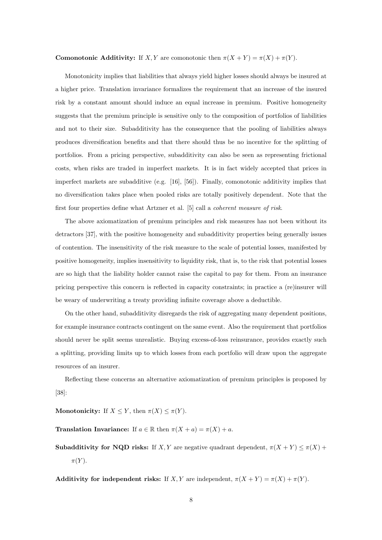## **Comonotonic Additivity:** If X, Y are comonotonic then  $\pi(X + Y) = \pi(X) + \pi(Y)$ .

Monotonicity implies that liabilities that always yield higher losses should always be insured at a higher price. Translation invariance formalizes the requirement that an increase of the insured risk by a constant amount should induce an equal increase in premium. Positive homogeneity suggests that the premium principle is sensitive only to the composition of portfolios of liabilities and not to their size. Subadditivity has the consequence that the pooling of liabilities always produces diversification benefits and that there should thus be no incentive for the splitting of portfolios. From a pricing perspective, subadditivity can also be seen as representing frictional costs, when risks are traded in imperfect markets. It is in fact widely accepted that prices in imperfect markets are subadditive (e.g. [16], [56]). Finally, comonotonic additivity implies that no diversification takes place when pooled risks are totally positively dependent. Note that the first four properties define what Artzner et al. [5] call a coherent measure of risk.

The above axiomatization of premium principles and risk measures has not been without its detractors [37], with the positive homogeneity and subadditivity properties being generally issues of contention. The insensitivity of the risk measure to the scale of potential losses, manifested by positive homogeneity, implies insensitivity to liquidity risk, that is, to the risk that potential losses are so high that the liability holder cannot raise the capital to pay for them. From an insurance pricing perspective this concern is reflected in capacity constraints; in practice a (re)insurer will be weary of underwriting a treaty providing infinite coverage above a deductible.

On the other hand, subadditivity disregards the risk of aggregating many dependent positions, for example insurance contracts contingent on the same event. Also the requirement that portfolios should never be split seems unrealistic. Buying excess-of-loss reinsurance, provides exactly such a splitting, providing limits up to which losses from each portfolio will draw upon the aggregate resources of an insurer.

Reflecting these concerns an alternative axiomatization of premium principles is proposed by [38]:

Monotonicity: If  $X \leq Y$ , then  $\pi(X) \leq \pi(Y)$ .

**Translation Invariance:** If  $a \in \mathbb{R}$  then  $\pi(X + a) = \pi(X) + a$ .

Subadditivity for NQD risks: If X, Y are negative quadrant dependent,  $\pi(X+Y) \leq \pi(X)$  +  $\pi(Y)$ .

Additivity for independent risks: If X, Y are independent,  $\pi(X + Y) = \pi(X) + \pi(Y)$ .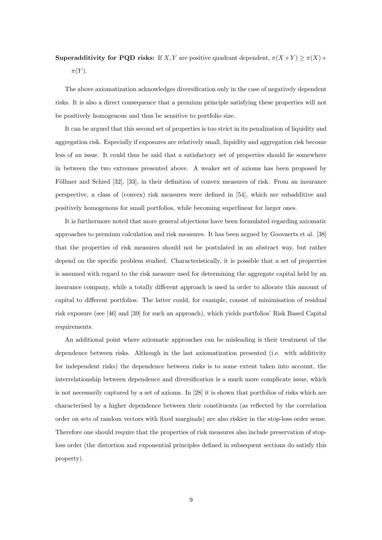## **Superadditivity for PQD risks:** If X, Y are positive quadrant dependent,  $\pi(X+Y) \geq \pi(X)$ +  $\pi(Y)$ .

The above axiomatization acknowledges diversification only in the case of negatively dependent risks. It is also a direct consequence that a premium principle satisfying these properties will not be positively homogenous and thus be sensitive to portfolio size.

It can be argued that this second set of properties is too strict in its penalization of liquidity and aggregation risk. Especially if exposures are relatively small, liquidity and aggregation risk become less of an issue. It could thus be said that a satisfactory set of properties should lie somewhere in between the two extremes presented above. A weaker set of axioms has been proposed by Föllmer and Schied [32], [33], in their definition of convex measures of risk. From an insurance perspective, a class of (convex) risk measures were defined in [54], which are subadditive and positively homogenous for small portfolios, while becoming superlinear for larger ones.

It is furthermore noted that more general objections have been formulated regarding axiomatic approaches to premium calculation and risk measures. It has been argued by Goovaerts et al. [38] that the properties of risk measures should not be postulated in an abstract way, but rather depend on the specific problem studied. Characteristically, it is possible that a set of properties is assumed with regard to the risk measure used for determining the aggregate capital held by an insurance company, while a totally different approach is used in order to allocate this amount of capital to different portfolios. The latter could, for example, consist of minimisation of residual risk exposure (see [46] and [39] for such an approach), which yields portfolios' Risk Based Capital requirements.

An additional point where axiomatic approaches can be misleading is their treatment of the dependence between risks. Although in the last axiomatization presented (i.e. with additivity for independent risks) the dependence between risks is to some extent taken into account, the interrelationship between dependence and diversification is a much more complicate issue, which is not necessarily captured by a set of axioms. In [28] it is shown that portfolios of risks which are characterised by a higher dependence between their constituents (as reflected by the correlation order on sets of random vectors with fixed marginals) are also riskier in the stop-loss order sense. Therefore one should require that the properties of risk measures also include preservation of stoploss order (the distortion and exponential principles defined in subsequent sections do satisfy this property).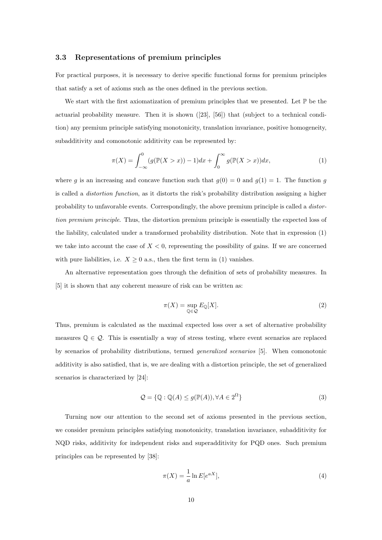#### 3.3 Representations of premium principles

For practical purposes, it is necessary to derive specific functional forms for premium principles that satisfy a set of axioms such as the ones defined in the previous section.

We start with the first axiomatization of premium principles that we presented. Let  $\mathbb P$  be the actuarial probability measure. Then it is shown ([23], [56]) that (subject to a technical condition) any premium principle satisfying monotonicity, translation invariance, positive homogeneity, subadditivity and comonotonic additivity can be represented by:

$$
\pi(X) = \int_{-\infty}^{0} (g(\mathbb{P}(X > x)) - 1)dx + \int_{0}^{\infty} g(\mathbb{P}(X > x))dx,
$$
\n(1)

where g is an increasing and concave function such that  $g(0) = 0$  and  $g(1) = 1$ . The function g is called a distortion function, as it distorts the risk's probability distribution assigning a higher probability to unfavorable events. Correspondingly, the above premium principle is called a distortion premium principle. Thus, the distortion premium principle is essentially the expected loss of the liability, calculated under a transformed probability distribution. Note that in expression (1) we take into account the case of  $X < 0$ , representing the possibility of gains. If we are concerned with pure liabilities, i.e.  $X \geq 0$  a.s., then the first term in (1) vanishes.

An alternative representation goes through the definition of sets of probability measures. In [5] it is shown that any coherent measure of risk can be written as:

$$
\pi(X) = \sup_{\mathbb{Q} \in \mathcal{Q}} E_{\mathbb{Q}}[X]. \tag{2}
$$

Thus, premium is calculated as the maximal expected loss over a set of alternative probability measures  $\mathbb{Q} \in \mathcal{Q}$ . This is essentially a way of stress testing, where event scenarios are replaced by scenarios of probability distributions, termed generalized scenarios [5]. When comonotonic additivity is also satisfied, that is, we are dealing with a distortion principle, the set of generalized scenarios is characterized by [24]:

$$
\mathcal{Q} = \{ \mathbb{Q} : \mathbb{Q}(A) \le g(\mathbb{P}(A)), \forall A \in 2^{\Omega} \}
$$
\n
$$
(3)
$$

Turning now our attention to the second set of axioms presented in the previous section, we consider premium principles satisfying monotonicity, translation invariance, subadditivity for NQD risks, additivity for independent risks and superadditivity for PQD ones. Such premium principles can be represented by [38]:

$$
\pi(X) = \frac{1}{a} \ln E[e^{aX}],\tag{4}
$$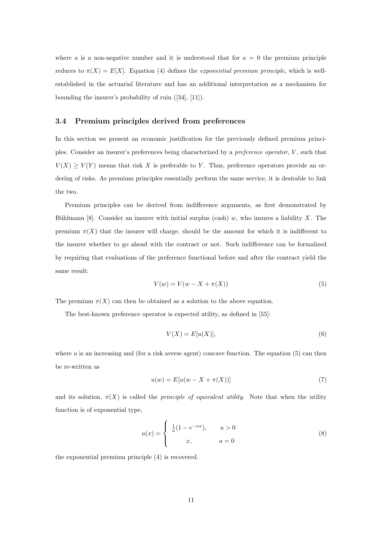where a is a non-negative number and it is understood that for  $a = 0$  the premium principle reduces to  $\pi(X) = E[X]$ . Equation (4) defines the *exponential premium principle*, which is wellestablished in the actuarial literature and has an additional interpretation as a mechanism for bounding the insurer's probability of ruin ([34], [11]).

#### 3.4 Premium principles derived from preferences

In this section we present an economic justification for the previously defined premium principles. Consider an insurer's preferences being characterized by a preference operator, V , such that  $V(X) \geq V(Y)$  means that risk X is preferable to Y. Thus, preference operators provide an ordering of risks. As premium principles essentially perform the same service, it is desirable to link the two.

Premium principles can be derived from indifference arguments, as first demonstrated by Bühlmann [8]. Consider an insurer with initial surplus (cash) w, who insures a liability X. The premium  $\pi(X)$  that the insurer will charge, should be the amount for which it is indifferent to the insurer whether to go ahead with the contract or not. Such indifference can be formalized by requiring that evaluations of the preference functional before and after the contract yield the same result:

$$
V(w) = V(w - X + \pi(X))
$$
\n<sup>(5)</sup>

The premium  $\pi(X)$  can then be obtained as a solution to the above equation.

The best-known preference operator is expected utility, as defined in [55]:

$$
V(X) = E[u(X)],\tag{6}
$$

where  $u$  is an increasing and (for a risk averse agent) concave function. The equation  $(5)$  can then be re-written as

$$
u(w) = E[u(w - X + \pi(X))]
$$
\n<sup>(7)</sup>

and its solution,  $\pi(X)$  is called the *principle of equivalent utility*. Note that when the utility function is of exponential type,

$$
u(x) = \begin{cases} \frac{1}{a}(1 - e^{-ax}), & a > 0\\ x, & a = 0 \end{cases}
$$
 (8)

the exponential premium principle (4) is recovered.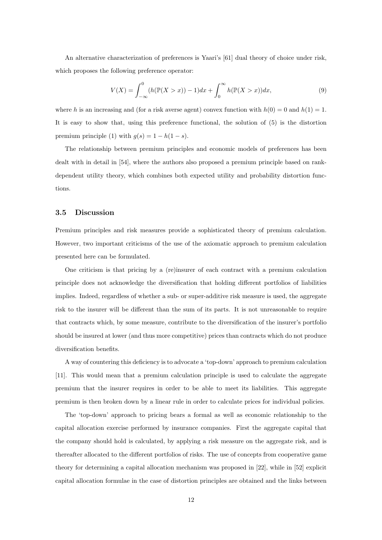An alternative characterization of preferences is Yaari's [61] dual theory of choice under risk, which proposes the following preference operator:

$$
V(X) = \int_{-\infty}^{0} (h(\mathbb{P}(X > x)) - 1)dx + \int_{0}^{\infty} h(\mathbb{P}(X > x))dx,
$$
 (9)

where h is an increasing and (for a risk averse agent) convex function with  $h(0) = 0$  and  $h(1) = 1$ . It is easy to show that, using this preference functional, the solution of (5) is the distortion premium principle (1) with  $g(s) = 1 - h(1 - s)$ .

The relationship between premium principles and economic models of preferences has been dealt with in detail in [54], where the authors also proposed a premium principle based on rankdependent utility theory, which combines both expected utility and probability distortion functions.

#### 3.5 Discussion

Premium principles and risk measures provide a sophisticated theory of premium calculation. However, two important criticisms of the use of the axiomatic approach to premium calculation presented here can be formulated.

One criticism is that pricing by a (re)insurer of each contract with a premium calculation principle does not acknowledge the diversification that holding different portfolios of liabilities implies. Indeed, regardless of whether a sub- or super-additive risk measure is used, the aggregate risk to the insurer will be different than the sum of its parts. It is not unreasonable to require that contracts which, by some measure, contribute to the diversification of the insurer's portfolio should be insured at lower (and thus more competitive) prices than contracts which do not produce diversification benefits.

A way of countering this deficiency is to advocate a 'top-down' approach to premium calculation [11]. This would mean that a premium calculation principle is used to calculate the aggregate premium that the insurer requires in order to be able to meet its liabilities. This aggregate premium is then broken down by a linear rule in order to calculate prices for individual policies.

The 'top-down' approach to pricing bears a formal as well as economic relationship to the capital allocation exercise performed by insurance companies. First the aggregate capital that the company should hold is calculated, by applying a risk measure on the aggregate risk, and is thereafter allocated to the different portfolios of risks. The use of concepts from cooperative game theory for determining a capital allocation mechanism was proposed in [22], while in [52] explicit capital allocation formulae in the case of distortion principles are obtained and the links between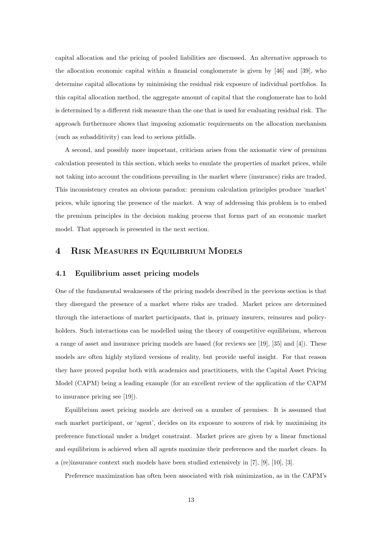capital allocation and the pricing of pooled liabilities are discussed. An alternative approach to the allocation economic capital within a financial conglomerate is given by [46] and [39], who determine capital allocations by minimising the residual risk exposure of individual portfolios. In this capital allocation method, the aggregate amount of capital that the conglomerate has to hold is determined by a different risk measure than the one that is used for evaluating residual risk. The approach furthermore shows that imposing axiomatic requirements on the allocation mechanism (such as subadditivity) can lead to serious pitfalls.

A second, and possibly more important, criticism arises from the axiomatic view of premium calculation presented in this section, which seeks to emulate the properties of market prices, while not taking into account the conditions prevailing in the market where (insurance) risks are traded. This inconsistency creates an obvious paradox: premium calculation principles produce 'market' prices, while ignoring the presence of the market. A way of addressing this problem is to embed the premium principles in the decision making process that forms part of an economic market model. That approach is presented in the next section.

## 4 RISK MEASURES IN EQUILIBRIUM MODELS

### 4.1 Equilibrium asset pricing models

One of the fundamental weaknesses of the pricing models described in the previous section is that they disregard the presence of a market where risks are traded. Market prices are determined through the interactions of market participants, that is, primary insurers, reinsures and policyholders. Such interactions can be modelled using the theory of competitive equilibrium, whereon a range of asset and insurance pricing models are based (for reviews see [19], [35] and [4]). These models are often highly stylized versions of reality, but provide useful insight. For that reason they have proved popular both with academics and practitioners, with the Capital Asset Pricing Model (CAPM) being a leading example (for an excellent review of the application of the CAPM to insurance pricing see [19]).

Equilibrium asset pricing models are derived on a number of premises. It is assumed that each market participant, or 'agent', decides on its exposure to sources of risk by maximising its preference functional under a budget constraint. Market prices are given by a linear functional and equilibrium is achieved when all agents maximize their preferences and the market clears. In a (re)insurance context such models have been studied extensively in [7], [9], [10], [3].

Preference maximization has often been associated with risk minimization, as in the CAPM's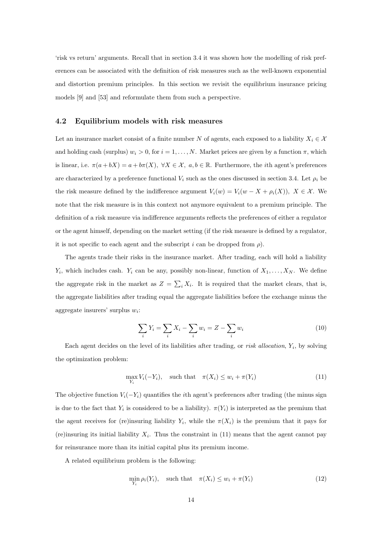'risk vs return' arguments. Recall that in section 3.4 it was shown how the modelling of risk preferences can be associated with the definition of risk measures such as the well-known exponential and distortion premium principles. In this section we revisit the equilibrium insurance pricing models [9] and [53] and reformulate them from such a perspective.

#### 4.2 Equilibrium models with risk measures

Let an insurance market consist of a finite number N of agents, each exposed to a liability  $X_i \in \mathcal{X}$ and holding cash (surplus)  $w_i > 0$ , for  $i = 1, ..., N$ . Market prices are given by a function  $\pi$ , which is linear, i.e.  $\pi(a + bX) = a + b\pi(X)$ ,  $\forall X \in \mathcal{X}$ ,  $a, b \in \mathbb{R}$ . Furthermore, the *i*th agent's preferences are characterized by a preference functional  $V_i$  such as the ones discussed in section 3.4. Let  $\rho_i$  be the risk measure defined by the indifference argument  $V_i(w) = V_i(w - X + \rho_i(X))$ ,  $X \in \mathcal{X}$ . We note that the risk measure is in this context not anymore equivalent to a premium principle. The definition of a risk measure via indifference arguments reflects the preferences of either a regulator or the agent himself, depending on the market setting (if the risk measure is defined by a regulator, it is not specific to each agent and the subscript i can be dropped from  $\rho$ ).

The agents trade their risks in the insurance market. After trading, each will hold a liability  $Y_i$ , which includes cash.  $Y_i$  can be any, possibly non-linear, function of  $X_1, \ldots, X_N$ . We define the aggregate risk in the market as  $Z = \sum_i X_i$ . It is required that the market clears, that is, the aggregate liabilities after trading equal the aggregate liabilities before the exchange minus the aggregate insurers' surplus  $w_i$ :

$$
\sum_{i} Y_i = \sum_{i} X_i - \sum_{i} w_i = Z - \sum_{i} w_i \tag{10}
$$

Each agent decides on the level of its liabilities after trading, or *risk allocation*,  $Y_i$ , by solving the optimization problem:

$$
\max_{Y_i} V_i(-Y_i), \quad \text{such that} \quad \pi(X_i) \le w_i + \pi(Y_i) \tag{11}
$$

The objective function  $V_i(-Y_i)$  quantifies the *i*th agent's preferences after trading (the minus sign is due to the fact that  $Y_i$  is considered to be a liability).  $\pi(Y_i)$  is interpreted as the premium that the agent receives for (re)insuring liability  $Y_i$ , while the  $\pi(X_i)$  is the premium that it pays for (re)insuring its initial liability  $X_i$ . Thus the constraint in (11) means that the agent cannot pay for reinsurance more than its initial capital plus its premium income.

A related equilibrium problem is the following:

$$
\min_{Y_i} \rho_i(Y_i), \quad \text{such that} \quad \pi(X_i) \le w_i + \pi(Y_i) \tag{12}
$$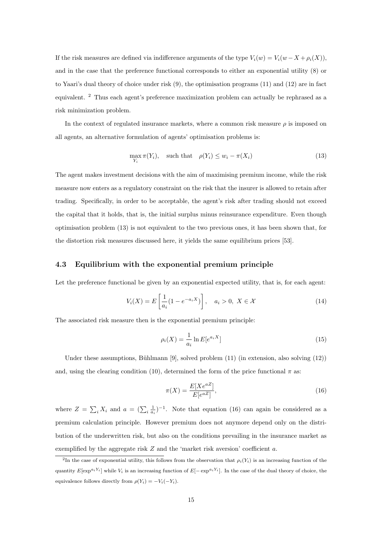If the risk measures are defined via indifference arguments of the type  $V_i(w) = V_i(w - X + \rho_i(X)),$ and in the case that the preference functional corresponds to either an exponential utility (8) or to Yaari's dual theory of choice under risk (9), the optimisation programs (11) and (12) are in fact equivalent. <sup>2</sup> Thus each agent's preference maximization problem can actually be rephrased as a risk minimization problem.

In the context of regulated insurance markets, where a common risk measure  $\rho$  is imposed on all agents, an alternative formulation of agents' optimisation problems is:

$$
\max_{Y_i} \pi(Y_i), \quad \text{such that} \quad \rho(Y_i) \le w_i - \pi(X_i) \tag{13}
$$

The agent makes investment decisions with the aim of maximising premium income, while the risk measure now enters as a regulatory constraint on the risk that the insurer is allowed to retain after trading. Specifically, in order to be acceptable, the agent's risk after trading should not exceed the capital that it holds, that is, the initial surplus minus reinsurance expenditure. Even though optimisation problem (13) is not equivalent to the two previous ones, it has been shown that, for the distortion risk measures discussed here, it yields the same equilibrium prices [53].

#### 4.3 Equilibrium with the exponential premium principle

Let the preference functional be given by an exponential expected utility, that is, for each agent:

$$
V_i(X) = E\left[\frac{1}{a_i}(1 - e^{-a_i X})\right], \quad a_i > 0, \ X \in \mathcal{X}
$$
 (14)

The associated risk measure then is the exponential premium principle:

$$
\rho_i(X) = \frac{1}{a_i} \ln E[e^{a_i X}] \tag{15}
$$

Under these assumptions, Bühlmann [9], solved problem  $(11)$  (in extension, also solving  $(12)$ ) and, using the clearing condition (10), determined the form of the price functional  $\pi$  as:

$$
\pi(X) = \frac{E[Xe^{aZ}]}{E[e^{aZ}]},\tag{16}
$$

where  $Z = \sum_i X_i$  and  $a = (\sum_i \frac{1}{a_i})^{-1}$ . Note that equation (16) can again be considered as a premium calculation principle. However premium does not anymore depend only on the distribution of the underwritten risk, but also on the conditions prevailing in the insurance market as exemplified by the aggregate risk  $Z$  and the 'market risk aversion' coefficient  $a$ .

<sup>&</sup>lt;sup>2</sup>In the case of exponential utility, this follows from the observation that  $\rho_i(Y_i)$  is an increasing function of the quantity  $E[\exp^{a_i Y_i}]$  while  $V_i$  is an increasing function of  $E[-\exp^{a_i Y_i}]$ . In the case of the dual theory of choice, the equivalence follows directly from  $\rho(Y_i) = -V_i(-Y_i)$ .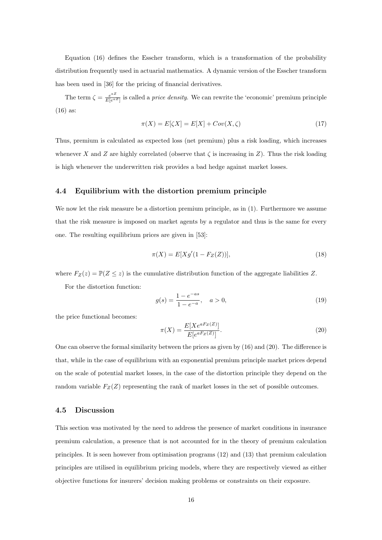Equation (16) defines the Esscher transform, which is a transformation of the probability distribution frequently used in actuarial mathematics. A dynamic version of the Esscher transform has been used in [36] for the pricing of financial derivatives.

The term  $\zeta = \frac{e^{aZ}}{E[e^{aZ}]}$  $\frac{e^{az}}{E[e^{az}]}$  is called a *price density*. We can rewrite the 'economic' premium principle (16) as:

$$
\pi(X) = E[\zeta X] = E[X] + Cov(X, \zeta)
$$
\n<sup>(17)</sup>

Thus, premium is calculated as expected loss (net premium) plus a risk loading, which increases whenever X and Z are highly correlated (observe that  $\zeta$  is increasing in Z). Thus the risk loading is high whenever the underwritten risk provides a bad hedge against market losses.

## 4.4 Equilibrium with the distortion premium principle

We now let the risk measure be a distortion premium principle, as in  $(1)$ . Furthermore we assume that the risk measure is imposed on market agents by a regulator and thus is the same for every one. The resulting equilibrium prices are given in [53]:

$$
\pi(X) = E[Xg'(1 - F_Z(Z))],\tag{18}
$$

where  $F_Z(z) = \mathbb{P}(Z \leq z)$  is the cumulative distribution function of the aggregate liabilities Z.

For the distortion function:

$$
g(s) = \frac{1 - e^{-as}}{1 - e^{-a}}, \quad a > 0,
$$
\n(19)

the price functional becomes:

$$
\pi(X) = \frac{E[Xe^{aF_Z(Z)}]}{E[e^{aF_Z(Z)}]}.
$$
\n(20)

One can observe the formal similarity between the prices as given by (16) and (20). The difference is that, while in the case of equilibrium with an exponential premium principle market prices depend on the scale of potential market losses, in the case of the distortion principle they depend on the random variable  $F_Z(Z)$  representing the rank of market losses in the set of possible outcomes.

## 4.5 Discussion

This section was motivated by the need to address the presence of market conditions in insurance premium calculation, a presence that is not accounted for in the theory of premium calculation principles. It is seen however from optimisation programs (12) and (13) that premium calculation principles are utilised in equilibrium pricing models, where they are respectively viewed as either objective functions for insurers' decision making problems or constraints on their exposure.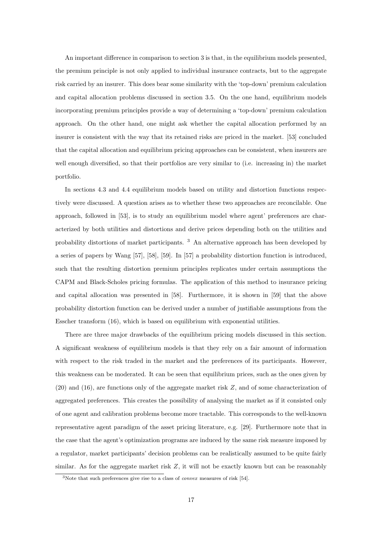An important difference in comparison to section 3 is that, in the equilibrium models presented, the premium principle is not only applied to individual insurance contracts, but to the aggregate risk carried by an insurer. This does bear some similarity with the 'top-down' premium calculation and capital allocation problems discussed in section 3.5. On the one hand, equilibrium models incorporating premium principles provide a way of determining a 'top-down' premium calculation approach. On the other hand, one might ask whether the capital allocation performed by an insurer is consistent with the way that its retained risks are priced in the market. [53] concluded that the capital allocation and equilibrium pricing approaches can be consistent, when insurers are well enough diversified, so that their portfolios are very similar to (i.e. increasing in) the market portfolio.

In sections 4.3 and 4.4 equilibrium models based on utility and distortion functions respectively were discussed. A question arises as to whether these two approaches are reconcilable. One approach, followed in [53], is to study an equilibrium model where agent' preferences are characterized by both utilities and distortions and derive prices depending both on the utilities and probability distortions of market participants. <sup>3</sup> An alternative approach has been developed by a series of papers by Wang [57], [58], [59]. In [57] a probability distortion function is introduced, such that the resulting distortion premium principles replicates under certain assumptions the CAPM and Black-Scholes pricing formulas. The application of this method to insurance pricing and capital allocation was presented in [58]. Furthermore, it is shown in [59] that the above probability distortion function can be derived under a number of justifiable assumptions from the Esscher transform (16), which is based on equilibrium with exponential utilities.

There are three major drawbacks of the equilibrium pricing models discussed in this section. A significant weakness of equilibrium models is that they rely on a fair amount of information with respect to the risk traded in the market and the preferences of its participants. However, this weakness can be moderated. It can be seen that equilibrium prices, such as the ones given by (20) and (16), are functions only of the aggregate market risk Z, and of some characterization of aggregated preferences. This creates the possibility of analysing the market as if it consisted only of one agent and calibration problems become more tractable. This corresponds to the well-known representative agent paradigm of the asset pricing literature, e.g. [29]. Furthermore note that in the case that the agent's optimization programs are induced by the same risk measure imposed by a regulator, market participants' decision problems can be realistically assumed to be quite fairly similar. As for the aggregate market risk  $Z$ , it will not be exactly known but can be reasonably

<sup>3</sup>Note that such preferences give rise to a class of convex measures of risk [54].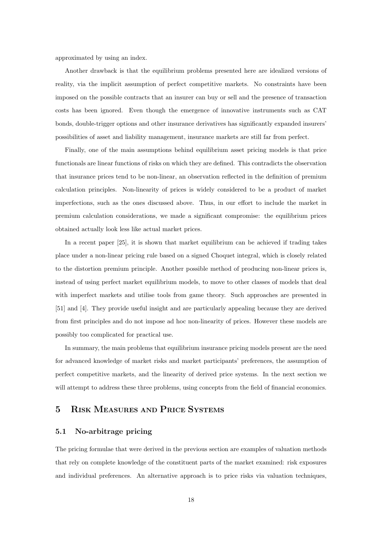approximated by using an index.

Another drawback is that the equilibrium problems presented here are idealized versions of reality, via the implicit assumption of perfect competitive markets. No constraints have been imposed on the possible contracts that an insurer can buy or sell and the presence of transaction costs has been ignored. Even though the emergence of innovative instruments such as CAT bonds, double-trigger options and other insurance derivatives has significantly expanded insurers' possibilities of asset and liability management, insurance markets are still far from perfect.

Finally, one of the main assumptions behind equilibrium asset pricing models is that price functionals are linear functions of risks on which they are defined. This contradicts the observation that insurance prices tend to be non-linear, an observation reflected in the definition of premium calculation principles. Non-linearity of prices is widely considered to be a product of market imperfections, such as the ones discussed above. Thus, in our effort to include the market in premium calculation considerations, we made a significant compromise: the equilibrium prices obtained actually look less like actual market prices.

In a recent paper [25], it is shown that market equilibrium can be achieved if trading takes place under a non-linear pricing rule based on a signed Choquet integral, which is closely related to the distortion premium principle. Another possible method of producing non-linear prices is, instead of using perfect market equilibrium models, to move to other classes of models that deal with imperfect markets and utilise tools from game theory. Such approaches are presented in [51] and [4]. They provide useful insight and are particularly appealing because they are derived from first principles and do not impose ad hoc non-linearity of prices. However these models are possibly too complicated for practical use.

In summary, the main problems that equilibrium insurance pricing models present are the need for advanced knowledge of market risks and market participants' preferences, the assumption of perfect competitive markets, and the linearity of derived price systems. In the next section we will attempt to address these three problems, using concepts from the field of financial economics.

## 5 RISK MEASURES AND PRICE SYSTEMS

## 5.1 No-arbitrage pricing

The pricing formulae that were derived in the previous section are examples of valuation methods that rely on complete knowledge of the constituent parts of the market examined: risk exposures and individual preferences. An alternative approach is to price risks via valuation techniques,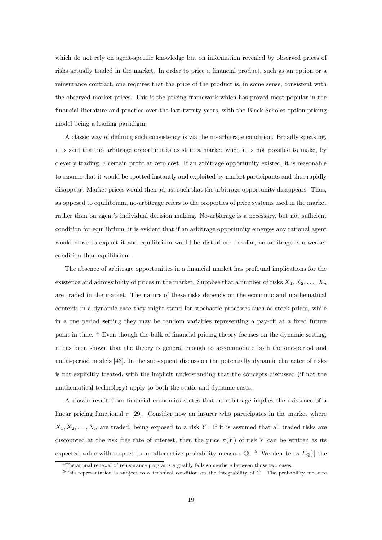which do not rely on agent-specific knowledge but on information revealed by observed prices of risks actually traded in the market. In order to price a financial product, such as an option or a reinsurance contract, one requires that the price of the product is, in some sense, consistent with the observed market prices. This is the pricing framework which has proved most popular in the financial literature and practice over the last twenty years, with the Black-Scholes option pricing model being a leading paradigm.

A classic way of defining such consistency is via the no-arbitrage condition. Broadly speaking, it is said that no arbitrage opportunities exist in a market when it is not possible to make, by cleverly trading, a certain profit at zero cost. If an arbitrage opportunity existed, it is reasonable to assume that it would be spotted instantly and exploited by market participants and thus rapidly disappear. Market prices would then adjust such that the arbitrage opportunity disappears. Thus, as opposed to equilibrium, no-arbitrage refers to the properties of price systems used in the market rather than on agent's individual decision making. No-arbitrage is a necessary, but not sufficient condition for equilibrium; it is evident that if an arbitrage opportunity emerges any rational agent would move to exploit it and equilibrium would be disturbed. Insofar, no-arbitrage is a weaker condition than equilibrium.

The absence of arbitrage opportunities in a financial market has profound implications for the existence and admissibility of prices in the market. Suppose that a number of risks  $X_1, X_2, \ldots, X_n$ are traded in the market. The nature of these risks depends on the economic and mathematical context; in a dynamic case they might stand for stochastic processes such as stock-prices, while in a one period setting they may be random variables representing a pay-off at a fixed future point in time. <sup>4</sup> Even though the bulk of financial pricing theory focuses on the dynamic setting, it has been shown that the theory is general enough to accommodate both the one-period and multi-period models [43]. In the subsequent discussion the potentially dynamic character of risks is not explicitly treated, with the implicit understanding that the concepts discussed (if not the mathematical technology) apply to both the static and dynamic cases.

A classic result from financial economics states that no-arbitrage implies the existence of a linear pricing functional  $\pi$  [29]. Consider now an insurer who participates in the market where  $X_1, X_2, \ldots, X_n$  are traded, being exposed to a risk Y. If it is assumed that all traded risks are discounted at the risk free rate of interest, then the price  $\pi(Y)$  of risk Y can be written as its expected value with respect to an alternative probability measure  $\mathbb{Q}$ . <sup>5</sup> We denote as  $E_{\mathbb{Q}}[\cdot]$  the

<sup>4</sup>The annual renewal of reinsurance programs arguably falls somewhere between those two cases.

 $5$ This representation is subject to a technical condition on the integrability of Y. The probability measure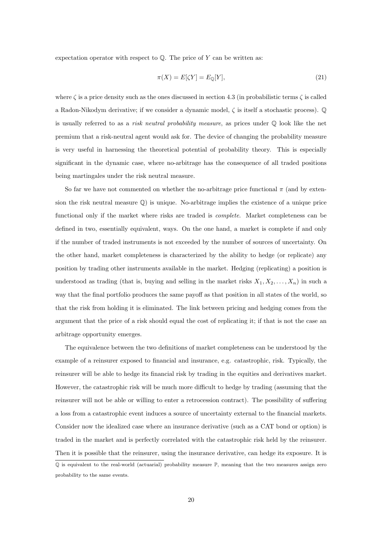expectation operator with respect to  $\mathbb Q$ . The price of Y can be written as:

$$
\pi(X) = E[\zeta Y] = E_{\mathbb{Q}}[Y],\tag{21}
$$

where  $\zeta$  is a price density such as the ones discussed in section 4.3 (in probabilistic terms  $\zeta$  is called a Radon-Nikodym derivative; if we consider a dynamic model, ζ is itself a stochastic process). Q is usually referred to as a *risk neutral probability measure*, as prices under  $\mathbb{Q}$  look like the net premium that a risk-neutral agent would ask for. The device of changing the probability measure is very useful in harnessing the theoretical potential of probability theory. This is especially significant in the dynamic case, where no-arbitrage has the consequence of all traded positions being martingales under the risk neutral measure.

So far we have not commented on whether the no-arbitrage price functional  $\pi$  (and by extension the risk neutral measure  $\mathbb{Q}$  is unique. No-arbitrage implies the existence of a unique price functional only if the market where risks are traded is complete. Market completeness can be defined in two, essentially equivalent, ways. On the one hand, a market is complete if and only if the number of traded instruments is not exceeded by the number of sources of uncertainty. On the other hand, market completeness is characterized by the ability to hedge (or replicate) any position by trading other instruments available in the market. Hedging (replicating) a position is understood as trading (that is, buying and selling in the market risks  $X_1, X_2, \ldots, X_n$ ) in such a way that the final portfolio produces the same payoff as that position in all states of the world, so that the risk from holding it is eliminated. The link between pricing and hedging comes from the argument that the price of a risk should equal the cost of replicating it; if that is not the case an arbitrage opportunity emerges.

The equivalence between the two definitions of market completeness can be understood by the example of a reinsurer exposed to financial and insurance, e.g. catastrophic, risk. Typically, the reinsurer will be able to hedge its financial risk by trading in the equities and derivatives market. However, the catastrophic risk will be much more difficult to hedge by trading (assuming that the reinsurer will not be able or willing to enter a retrocession contract). The possibility of suffering a loss from a catastrophic event induces a source of uncertainty external to the financial markets. Consider now the idealized case where an insurance derivative (such as a CAT bond or option) is traded in the market and is perfectly correlated with the catastrophic risk held by the reinsurer. Then it is possible that the reinsurer, using the insurance derivative, can hedge its exposure. It is

Q is equivalent to the real-world (actuarial) probability measure P, meaning that the two measures assign zero probability to the same events.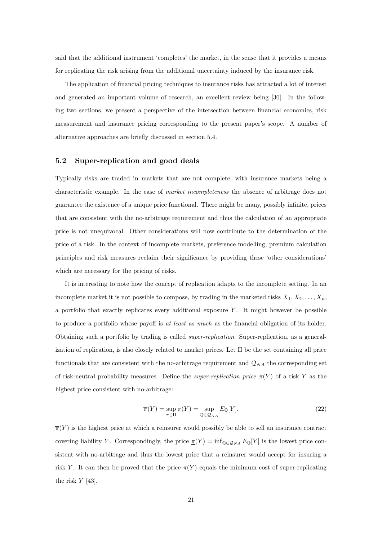said that the additional instrument 'completes' the market, in the sense that it provides a means for replicating the risk arising from the additional uncertainty induced by the insurance risk.

The application of financial pricing techniques to insurance risks has attracted a lot of interest and generated an important volume of research, an excellent review being [30]. In the following two sections, we present a perspective of the intersection between financial economics, risk measurement and insurance pricing corresponding to the present paper's scope. A number of alternative approaches are briefly discussed in section 5.4.

#### 5.2 Super-replication and good deals

Typically risks are traded in markets that are not complete, with insurance markets being a characteristic example. In the case of market incompleteness the absence of arbitrage does not guarantee the existence of a unique price functional. There might be many, possibly infinite, prices that are consistent with the no-arbitrage requirement and thus the calculation of an appropriate price is not unequivocal. Other considerations will now contribute to the determination of the price of a risk. In the context of incomplete markets, preference modelling, premium calculation principles and risk measures reclaim their significance by providing these 'other considerations' which are necessary for the pricing of risks.

It is interesting to note how the concept of replication adapts to the incomplete setting. In an incomplete market it is not possible to compose, by trading in the marketed risks  $X_1, X_2, \ldots, X_n$ , a portfolio that exactly replicates every additional exposure  $Y$ . It might however be possible to produce a portfolio whose payoff is at least as much as the financial obligation of its holder. Obtaining such a portfolio by trading is called super-replication. Super-replication, as a generalization of replication, is also closely related to market prices. Let  $\Pi$  be the set containing all price functionals that are consistent with the no-arbitrage requirement and  $\mathcal{Q}_{NA}$  the corresponding set of risk-neutral probability measures. Define the *super-replication price*  $\overline{\pi}(Y)$  of a risk Y as the highest price consistent with no-arbitrage:

$$
\overline{\pi}(Y) = \sup_{\pi \in \Pi} \pi(Y) = \sup_{\mathbb{Q} \in \mathcal{Q}_{NA}} E_{\mathbb{Q}}[Y]. \tag{22}
$$

 $\overline{\pi}(Y)$  is the highest price at which a reinsurer would possibly be able to sell an insurance contract covering liability Y. Correspondingly, the price  $\pi(Y) = \inf_{\mathbb{Q} \in \mathcal{Q}_{NA}} E_{\mathbb{Q}}[Y]$  is the lowest price consistent with no-arbitrage and thus the lowest price that a reinsurer would accept for insuring a risk Y. It can then be proved that the price  $\overline{\pi}(Y)$  equals the minimum cost of super-replicating the risk Y [43].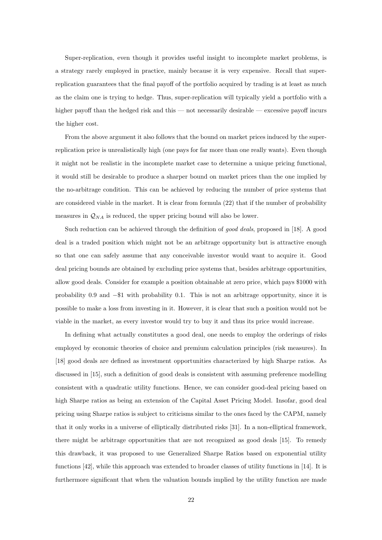Super-replication, even though it provides useful insight to incomplete market problems, is a strategy rarely employed in practice, mainly because it is very expensive. Recall that superreplication guarantees that the final payoff of the portfolio acquired by trading is at least as much as the claim one is trying to hedge. Thus, super-replication will typically yield a portfolio with a higher payoff than the hedged risk and this — not necessarily desirable — excessive payoff incurs the higher cost.

From the above argument it also follows that the bound on market prices induced by the superreplication price is unrealistically high (one pays for far more than one really wants). Even though it might not be realistic in the incomplete market case to determine a unique pricing functional, it would still be desirable to produce a sharper bound on market prices than the one implied by the no-arbitrage condition. This can be achieved by reducing the number of price systems that are considered viable in the market. It is clear from formula (22) that if the number of probability measures in  $\mathcal{Q}_{NA}$  is reduced, the upper pricing bound will also be lower.

Such reduction can be achieved through the definition of good deals, proposed in [18]. A good deal is a traded position which might not be an arbitrage opportunity but is attractive enough so that one can safely assume that any conceivable investor would want to acquire it. Good deal pricing bounds are obtained by excluding price systems that, besides arbitrage opportunities, allow good deals. Consider for example a position obtainable at zero price, which pays \$1000 with probability 0.9 and −\$1 with probability 0.1. This is not an arbitrage opportunity, since it is possible to make a loss from investing in it. However, it is clear that such a position would not be viable in the market, as every investor would try to buy it and thus its price would increase.

In defining what actually constitutes a good deal, one needs to employ the orderings of risks employed by economic theories of choice and premium calculation principles (risk measures). In [18] good deals are defined as investment opportunities characterized by high Sharpe ratios. As discussed in [15], such a definition of good deals is consistent with assuming preference modelling consistent with a quadratic utility functions. Hence, we can consider good-deal pricing based on high Sharpe ratios as being an extension of the Capital Asset Pricing Model. Insofar, good deal pricing using Sharpe ratios is subject to criticisms similar to the ones faced by the CAPM, namely that it only works in a universe of elliptically distributed risks [31]. In a non-elliptical framework, there might be arbitrage opportunities that are not recognized as good deals [15]. To remedy this drawback, it was proposed to use Generalized Sharpe Ratios based on exponential utility functions [42], while this approach was extended to broader classes of utility functions in [14]. It is furthermore significant that when the valuation bounds implied by the utility function are made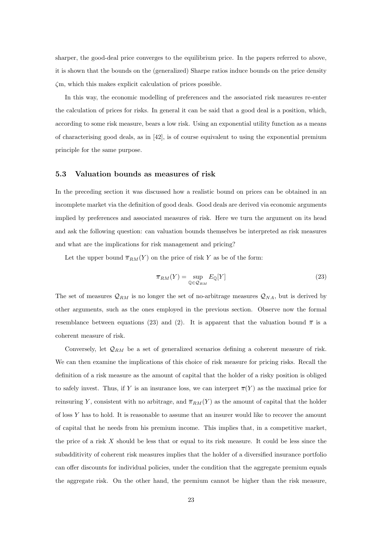sharper, the good-deal price converges to the equilibrium price. In the papers referred to above, it is shown that the bounds on the (generalized) Sharpe ratios induce bounds on the price density ζm, which this makes explicit calculation of prices possible.

In this way, the economic modelling of preferences and the associated risk measures re-enter the calculation of prices for risks. In general it can be said that a good deal is a position, which, according to some risk measure, bears a low risk. Using an exponential utility function as a means of characterising good deals, as in [42], is of course equivalent to using the exponential premium principle for the same purpose.

#### 5.3 Valuation bounds as measures of risk

In the preceding section it was discussed how a realistic bound on prices can be obtained in an incomplete market via the definition of good deals. Good deals are derived via economic arguments implied by preferences and associated measures of risk. Here we turn the argument on its head and ask the following question: can valuation bounds themselves be interpreted as risk measures and what are the implications for risk management and pricing?

Let the upper bound  $\overline{\pi}_{RM}(Y)$  on the price of risk Y as be of the form:

$$
\overline{\pi}_{RM}(Y) = \sup_{\mathbb{Q} \in \mathcal{Q}_{RM}} E_{\mathbb{Q}}[Y] \tag{23}
$$

The set of measures  $\mathcal{Q}_{RM}$  is no longer the set of no-arbitrage measures  $\mathcal{Q}_{NA}$ , but is derived by other arguments, such as the ones employed in the previous section. Observe now the formal resemblance between equations (23) and (2). It is apparent that the valuation bound  $\bar{\pi}$  is a coherent measure of risk.

Conversely, let  $\mathcal{Q}_{RM}$  be a set of generalized scenarios defining a coherent measure of risk. We can then examine the implications of this choice of risk measure for pricing risks. Recall the definition of a risk measure as the amount of capital that the holder of a risky position is obliged to safely invest. Thus, if Y is an insurance loss, we can interpret  $\overline{\pi}(Y)$  as the maximal price for reinsuring Y, consistent with no arbitrage, and  $\overline{\pi}_{RM}(Y)$  as the amount of capital that the holder of loss  $Y$  has to hold. It is reasonable to assume that an insurer would like to recover the amount of capital that he needs from his premium income. This implies that, in a competitive market, the price of a risk  $X$  should be less that or equal to its risk measure. It could be less since the subadditivity of coherent risk measures implies that the holder of a diversified insurance portfolio can offer discounts for individual policies, under the condition that the aggregate premium equals the aggregate risk. On the other hand, the premium cannot be higher than the risk measure,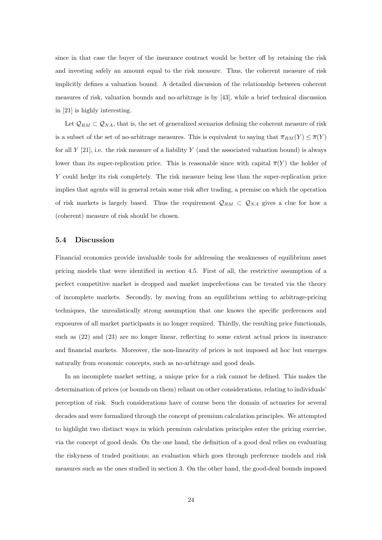since in that case the buyer of the insurance contract would be better off by retaining the risk and investing safely an amount equal to the risk measure. Thus, the coherent measure of risk implicitly defines a valuation bound. A detailed discussion of the relationship between coherent measures of risk, valuation bounds and no-arbitrage is by [43], while a brief technical discussion in [21] is highly interesting.

Let  $\mathcal{Q}_{RM} \subset \mathcal{Q}_{NA}$ , that is, the set of generalized scenarios defining the coherent measure of risk is a subset of the set of no-arbitrage measures. This is equivalent to saying that  $\overline{\pi}_{RM}(Y) \leq \overline{\pi}(Y)$ for all  $Y$  [21], i.e. the risk measure of a liability  $Y$  (and the associated valuation bound) is always lower than its super-replication price. This is reasonable since with capital  $\overline{\pi}(Y)$  the holder of Y could hedge its risk completely. The risk measure being less than the super-replication price implies that agents will in general retain some risk after trading, a premise on which the operation of risk markets is largely based. Thus the requirement  $\mathcal{Q}_{RM} \subset \mathcal{Q}_{NA}$  gives a clue for how a (coherent) measure of risk should be chosen.

## 5.4 Discussion

Financial economics provide invaluable tools for addressing the weaknesses of equilibrium asset pricing models that were identified in section 4.5. First of all, the restrictive assumption of a perfect competitive market is dropped and market imperfections can be treated via the theory of incomplete markets. Secondly, by moving from an equilibrium setting to arbitrage-pricing techniques, the unrealistically strong assumption that one knows the specific preferences and exposures of all market participants is no longer required. Thirdly, the resulting price functionals, such as (22) and (23) are no longer linear, reflecting to some extent actual prices in insurance and financial markets. Moreover, the non-linearity of prices is not imposed ad hoc but emerges naturally from economic concepts, such as no-arbitrage and good deals.

In an incomplete market setting, a unique price for a risk cannot be defined. This makes the determination of prices (or bounds on them) reliant on other considerations, relating to individuals' perception of risk. Such considerations have of course been the domain of actuaries for several decades and were formalized through the concept of premium calculation principles. We attempted to highlight two distinct ways in which premium calculation principles enter the pricing exercise, via the concept of good deals. On the one hand, the definition of a good deal relies on evaluating the riskyness of traded positions; an evaluation which goes through preference models and risk measures such as the ones studied in section 3. On the other hand, the good-deal bounds imposed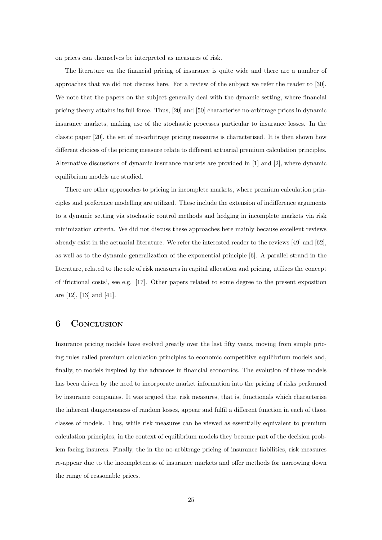on prices can themselves be interpreted as measures of risk.

The literature on the financial pricing of insurance is quite wide and there are a number of approaches that we did not discuss here. For a review of the subject we refer the reader to [30]. We note that the papers on the subject generally deal with the dynamic setting, where financial pricing theory attains its full force. Thus, [20] and [50] characterise no-arbitrage prices in dynamic insurance markets, making use of the stochastic processes particular to insurance losses. In the classic paper [20], the set of no-arbitrage pricing measures is characterised. It is then shown how different choices of the pricing measure relate to different actuarial premium calculation principles. Alternative discussions of dynamic insurance markets are provided in [1] and [2], where dynamic equilibrium models are studied.

There are other approaches to pricing in incomplete markets, where premium calculation principles and preference modelling are utilized. These include the extension of indifference arguments to a dynamic setting via stochastic control methods and hedging in incomplete markets via risk minimization criteria. We did not discuss these approaches here mainly because excellent reviews already exist in the actuarial literature. We refer the interested reader to the reviews [49] and [62], as well as to the dynamic generalization of the exponential principle [6]. A parallel strand in the literature, related to the role of risk measures in capital allocation and pricing, utilizes the concept of 'frictional costs', see e.g. [17]. Other papers related to some degree to the present exposition are [12], [13] and [41].

## 6 CONCLUSION

Insurance pricing models have evolved greatly over the last fifty years, moving from simple pricing rules called premium calculation principles to economic competitive equilibrium models and, finally, to models inspired by the advances in financial economics. The evolution of these models has been driven by the need to incorporate market information into the pricing of risks performed by insurance companies. It was argued that risk measures, that is, functionals which characterise the inherent dangerousness of random losses, appear and fulfil a different function in each of those classes of models. Thus, while risk measures can be viewed as essentially equivalent to premium calculation principles, in the context of equilibrium models they become part of the decision problem facing insurers. Finally, the in the no-arbitrage pricing of insurance liabilities, risk measures re-appear due to the incompleteness of insurance markets and offer methods for narrowing down the range of reasonable prices.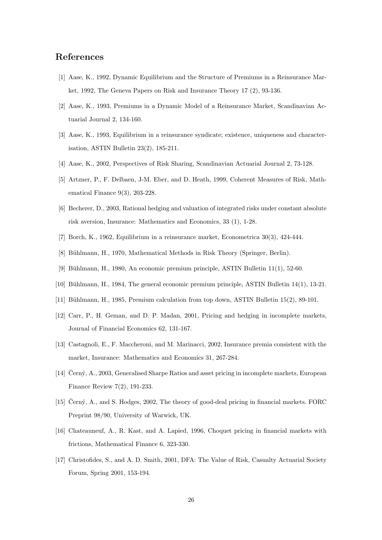## References

- [1] Aase, K., 1992, Dynamic Equilibrium and the Structure of Premiums in a Reinsurance Market, 1992, The Geneva Papers on Risk and Insurance Theory 17 (2), 93-136.
- [2] Aase, K., 1993, Premiums in a Dynamic Model of a Reinsurance Market, Scandinavian Actuarial Journal 2, 134-160.
- [3] Aase, K., 1993, Equilibrium in a reinsurance syndicate; existence, uniqueness and characterisation, ASTIN Bulletin 23(2), 185-211.
- [4] Aase, K., 2002, Perspectives of Risk Sharing, Scandinavian Actuarial Journal 2, 73-128.
- [5] Artzner, P., F. Delbaen, J-M. Eber, and D. Heath, 1999, Coherent Measures of Risk, Mathematical Finance 9(3), 203-228.
- [6] Becherer, D., 2003, Rational hedging and valuation of integrated risks under constant absolute risk aversion, Insurance: Mathematics and Economics, 33 (1), 1-28.
- [7] Borch, K., 1962, Equilibrium in a reinsurance market, Econometrica 30(3), 424-444.
- [8] Bühlmann, H., 1970, Mathematical Methods in Risk Theory (Springer, Berlin).
- [9] Bühlmann, H., 1980, An economic premium principle, ASTIN Bulletin  $11(1)$ , 52-60.
- [10] Bühlmann, H., 1984, The general economic premium principle, ASTIN Bulletin  $14(1)$ , 13-21.
- [11] Bühlmann, H., 1985, Premium calculation from top down, ASTIN Bulletin  $15(2)$ , 89-101.
- [12] Carr, P., H. Geman, and D. P. Madan, 2001, Pricing and hedging in incomplete markets, Journal of Financial Economics 62, 131-167.
- [13] Castagnoli, E., F. Maccheroni, and M. Marinacci, 2002, Insurance premia consistent with the market, Insurance: Mathematics and Economics 31, 267-284.
- [14] C̄erný, A., 2003, Generalised Sharpe Ratios and asset pricing in incomplete markets, European Finance Review 7(2), 191-233.
- [15] Cerný, A., and S. Hodges, 2002, The theory of good-deal pricing in financial markets. FORC Preprint 98/90, University of Warwick, UK.
- [16] Chateauneuf, A., R. Kast, and A. Lapied, 1996, Choquet pricing in financial markets with frictions, Mathematical Finance 6, 323-330.
- [17] Christofides, S., and A. D. Smith, 2001, DFA: The Value of Risk, Casualty Actuarial Society Forum, Spring 2001, 153-194.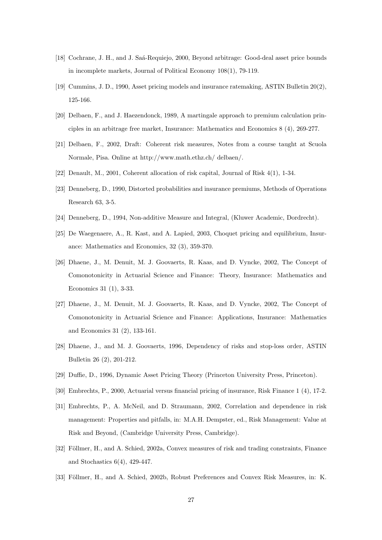- [18] Cochrane, J. H., and J. Saá-Requiejo, 2000, Beyond arbitrage: Good-deal asset price bounds in incomplete markets, Journal of Political Economy 108(1), 79-119.
- [19] Cummins, J. D., 1990, Asset pricing models and insurance ratemaking, ASTIN Bulletin 20(2), 125-166.
- [20] Delbaen, F., and J. Haezendonck, 1989, A martingale approach to premium calculation principles in an arbitrage free market, Insurance: Mathematics and Economics 8 (4), 269-277.
- [21] Delbaen, F., 2002, Draft: Coherent risk measures, Notes from a course taught at Scuola Normale, Pisa. Online at http://www.math.ethz.ch/ delbaen/.
- [22] Denault, M., 2001, Coherent allocation of risk capital, Journal of Risk 4(1), 1-34.
- [23] Denneberg, D., 1990, Distorted probabilities and insurance premiums, Methods of Operations Research 63, 3-5.
- [24] Denneberg, D., 1994, Non-additive Measure and Integral, (Kluwer Academic, Dordrecht).
- [25] De Waegenaere, A., R. Kast, and A. Lapied, 2003, Choquet pricing and equilibrium, Insurance: Mathematics and Economics, 32 (3), 359-370.
- [26] Dhaene, J., M. Denuit, M. J. Goovaerts, R. Kaas, and D. Vyncke, 2002, The Concept of Comonotonicity in Actuarial Science and Finance: Theory, Insurance: Mathematics and Economics 31 (1), 3-33.
- [27] Dhaene, J., M. Denuit, M. J. Goovaerts, R. Kaas, and D. Vyncke, 2002, The Concept of Comonotonicity in Actuarial Science and Finance: Applications, Insurance: Mathematics and Economics 31 (2), 133-161.
- [28] Dhaene, J., and M. J. Goovaerts, 1996, Dependency of risks and stop-loss order, ASTIN Bulletin 26 (2), 201-212.
- [29] Duffie, D., 1996, Dynamic Asset Pricing Theory (Princeton University Press, Princeton).
- [30] Embrechts, P., 2000, Actuarial versus financial pricing of insurance, Risk Finance 1 (4), 17-2.
- [31] Embrechts, P., A. McNeil, and D. Straumann, 2002, Correlation and dependence in risk management: Properties and pitfalls, in: M.A.H. Dempster, ed., Risk Management: Value at Risk and Beyond, (Cambridge University Press, Cambridge).
- [32] Föllmer, H., and A. Schied, 2002a, Convex measures of risk and trading constraints, Finance and Stochastics 6(4), 429-447.
- [33] Föllmer, H., and A. Schied, 2002b, Robust Preferences and Convex Risk Measures, in: K.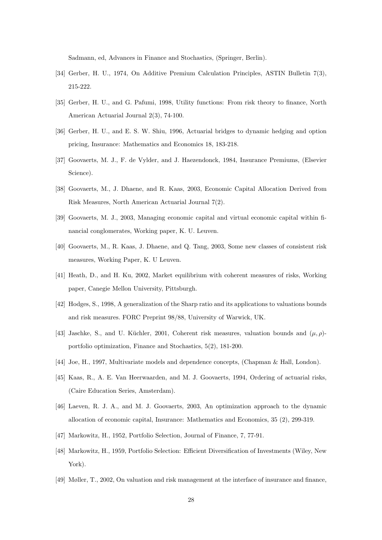Sadmann, ed, Advances in Finance and Stochastics, (Springer, Berlin).

- [34] Gerber, H. U., 1974, On Additive Premium Calculation Principles, ASTIN Bulletin 7(3), 215-222.
- [35] Gerber, H. U., and G. Pafumi, 1998, Utility functions: From risk theory to finance, North American Actuarial Journal 2(3), 74-100.
- [36] Gerber, H. U., and E. S. W. Shiu, 1996, Actuarial bridges to dynamic hedging and option pricing, Insurance: Mathematics and Economics 18, 183-218.
- [37] Goovaerts, M. J., F. de Vylder, and J. Haezendonck, 1984, Insurance Premiums, (Elsevier Science).
- [38] Goovaerts, M., J. Dhaene, and R. Kaas, 2003, Economic Capital Allocation Derived from Risk Measures, North American Actuarial Journal 7(2).
- [39] Goovaerts, M. J., 2003, Managing economic capital and virtual economic capital within financial conglomerates, Working paper, K. U. Leuven.
- [40] Goovaerts, M., R. Kaas, J. Dhaene, and Q. Tang, 2003, Some new classes of consistent risk measures, Working Paper, K. U Leuven.
- [41] Heath, D., and H. Ku, 2002, Market equilibrium with coherent measures of risks, Working paper, Canegie Mellon University, Pittsburgh.
- [42] Hodges, S., 1998, A generalization of the Sharp ratio and its applications to valuations bounds and risk measures. FORC Preprint 98/88, University of Warwick, UK.
- [43] Jaschke, S., and U. Küchler, 2001, Coherent risk measures, valuation bounds and  $(\mu, \rho)$ portfolio optimization, Finance and Stochastics, 5(2), 181-200.
- [44] Joe, H., 1997, Multivariate models and dependence concepts, (Chapman & Hall, London).
- [45] Kaas, R., A. E. Van Heerwaarden, and M. J. Goovaerts, 1994, Ordering of actuarial risks, (Caire Education Series, Amsterdam).
- [46] Laeven, R. J. A., and M. J. Goovaerts, 2003, An optimization approach to the dynamic allocation of economic capital, Insurance: Mathematics and Economics, 35 (2), 299-319.
- [47] Markowitz, H., 1952, Portfolio Selection, Journal of Finance, 7, 77-91.
- [48] Markowitz, H., 1959, Portfolio Selection: Efficient Diversification of Investments (Wiley, New York).
- [49] Møller, T., 2002, On valuation and risk management at the interface of insurance and finance,